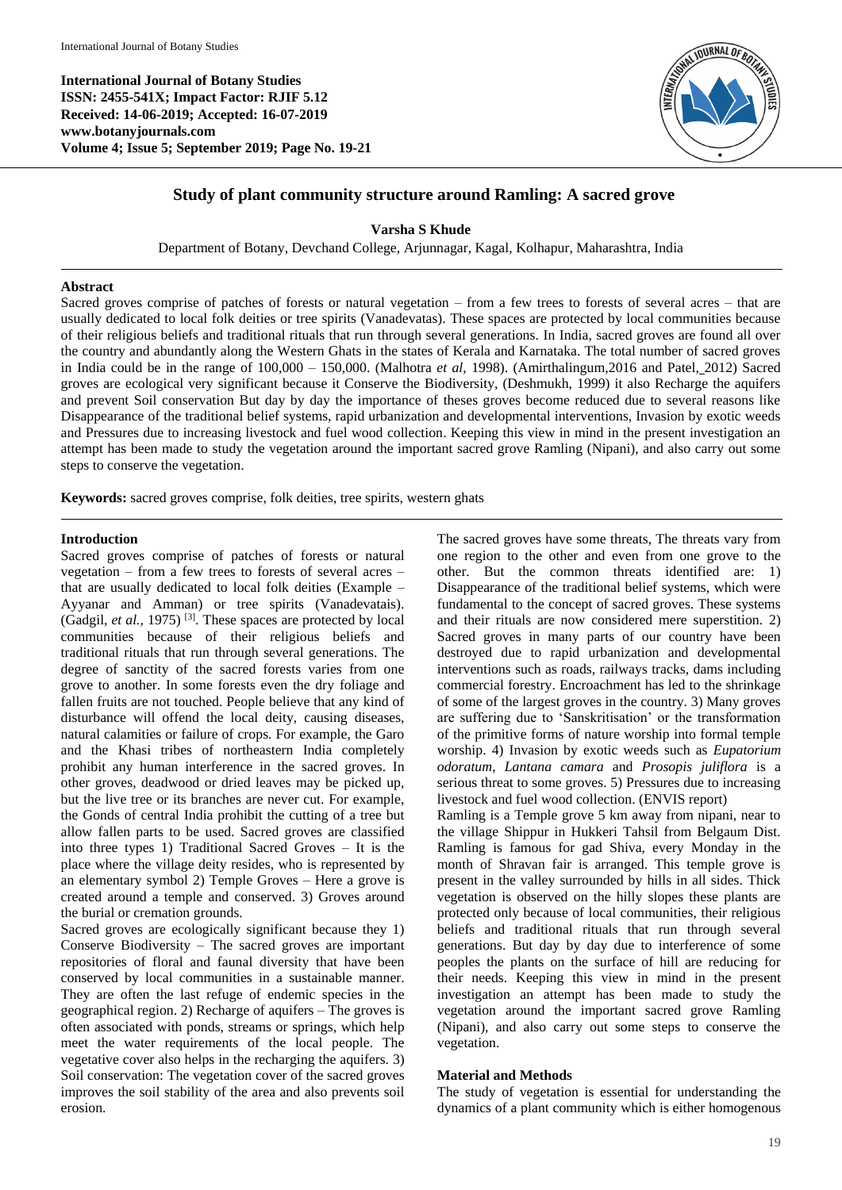**International Journal of Botany Studies ISSN: 2455-541X; Impact Factor: RJIF 5.12 Received: 14-06-2019; Accepted: 16-07-2019 www.botanyjournals.com Volume 4; Issue 5; September 2019; Page No. 19-21**



# **Study of plant community structure around Ramling: A sacred grove**

**Varsha S Khude**

Department of Botany, Devchand College, Arjunnagar, Kagal, Kolhapur, Maharashtra, India

## **Abstract**

Sacred groves comprise of patches of forests or natural vegetation – from a few trees to forests of several acres – that are usually dedicated to local folk deities or tree spirits (Vanadevatas). These spaces are protected by local communities because of their religious beliefs and traditional rituals that run through several generations. In India, sacred groves are found all over the country and abundantly along the Western Ghats in the states of Kerala and Karnataka. The total number of sacred groves in India could be in the range of 100,000 – 150,000. (Malhotra *et al*, 1998). (Amirthalingum,2016 and Patel, 2012) Sacred groves are ecological very significant because it Conserve the Biodiversity, (Deshmukh, 1999) it also Recharge the aquifers and prevent Soil conservation But day by day the importance of theses groves become reduced due to several reasons like Disappearance of the traditional belief systems, rapid urbanization and developmental interventions, Invasion by exotic weeds and Pressures due to increasing livestock and fuel wood collection. Keeping this view in mind in the present investigation an attempt has been made to study the vegetation around the important sacred grove Ramling (Nipani), and also carry out some steps to conserve the vegetation.

**Keywords:** sacred groves comprise, folk deities, tree spirits, western ghats

## **Introduction**

Sacred groves comprise of patches of forests or natural vegetation – from a few trees to forests of several acres – that are usually dedicated to local folk deities (Example – Ayyanar and Amman) or tree spirits (Vanadevatais). (Gadgil, *et al.,* 1975) [3] . These spaces are protected by local communities because of their religious beliefs and traditional rituals that run through several generations. The degree of sanctity of the sacred forests varies from one grove to another. In some forests even the dry foliage and fallen fruits are not touched. People believe that any kind of disturbance will offend the local deity, causing diseases, natural calamities or failure of crops. For example, the Garo and the Khasi tribes of northeastern India completely prohibit any human interference in the sacred groves. In other groves, deadwood or dried leaves may be picked up, but the live tree or its branches are never cut. For example, the Gonds of central India prohibit the cutting of a tree but allow fallen parts to be used. Sacred groves are classified into three types 1) Traditional Sacred Groves – It is the place where the village deity resides, who is represented by an elementary symbol 2) Temple Groves – Here a grove is created around a temple and conserved. 3) Groves around the burial or cremation grounds.

Sacred groves are ecologically significant because they 1) Conserve Biodiversity – The sacred groves are important repositories of floral and faunal diversity that have been conserved by local communities in a sustainable manner. They are often the last refuge of endemic species in the geographical region. 2) Recharge of aquifers – The groves is often associated with ponds, streams or springs, which help meet the water requirements of the local people. The vegetative cover also helps in the recharging the aquifers. 3) Soil conservation: The vegetation cover of the sacred groves improves the soil stability of the area and also prevents soil erosion.

The sacred groves have some threats, The threats vary from one region to the other and even from one grove to the other. But the common threats identified are: 1) Disappearance of the traditional belief systems, which were fundamental to the concept of sacred groves. These systems and their rituals are now considered mere superstition. 2) Sacred groves in many parts of our country have been destroyed due to rapid urbanization and developmental interventions such as roads, railways tracks, dams including commercial forestry. Encroachment has led to the shrinkage of some of the largest groves in the country. 3) Many groves are suffering due to 'Sanskritisation' or the transformation of the primitive forms of nature worship into formal temple worship. 4) Invasion by exotic weeds such as *Eupatorium odoratum*, *Lantana camara* and *Prosopis juliflora* is a serious threat to some groves. 5) Pressures due to increasing livestock and fuel wood collection. (ENVIS report)

Ramling is a Temple grove 5 km away from nipani, near to the village Shippur in Hukkeri Tahsil from Belgaum Dist. Ramling is famous for gad Shiva, every Monday in the month of Shravan fair is arranged. This temple grove is present in the valley surrounded by hills in all sides. Thick vegetation is observed on the hilly slopes these plants are protected only because of local communities, their religious beliefs and traditional rituals that run through several generations. But day by day due to interference of some peoples the plants on the surface of hill are reducing for their needs. Keeping this view in mind in the present investigation an attempt has been made to study the vegetation around the important sacred grove Ramling (Nipani), and also carry out some steps to conserve the vegetation.

#### **Material and Methods**

The study of vegetation is essential for understanding the dynamics of a plant community which is either homogenous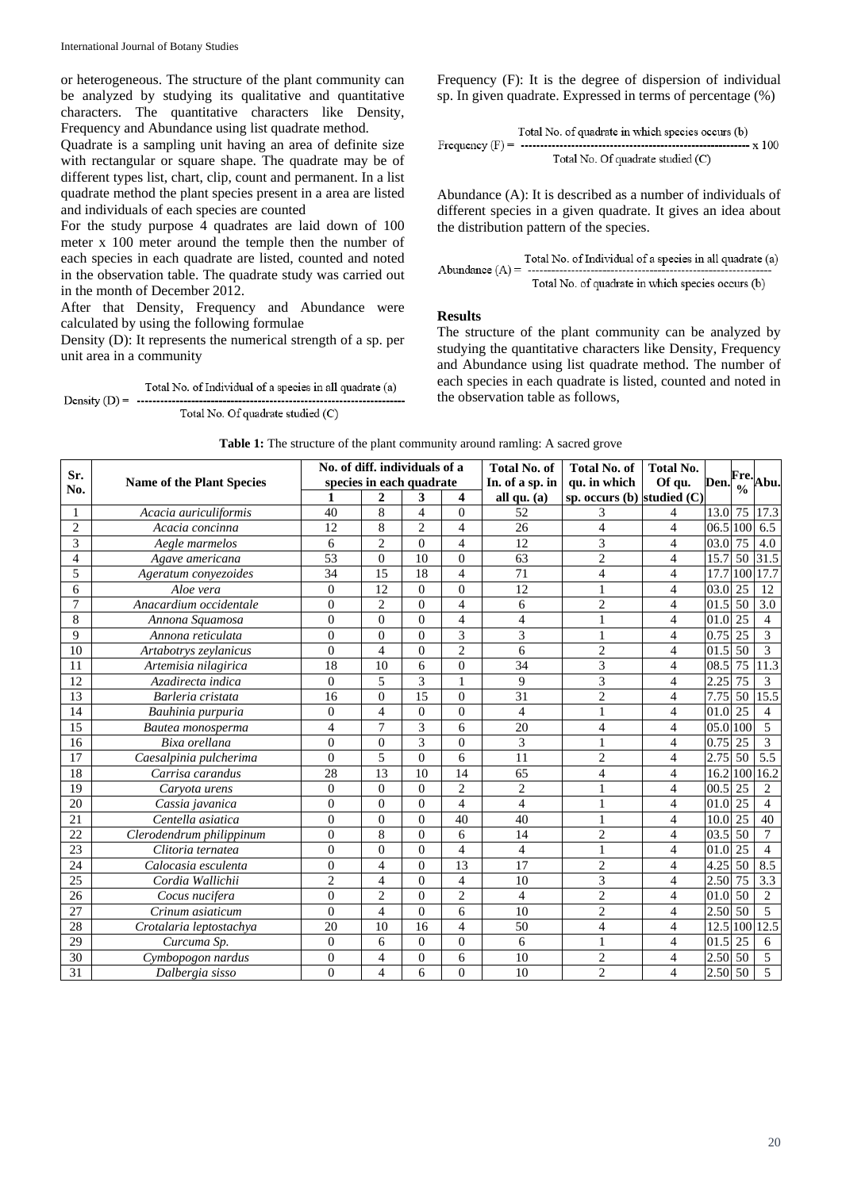or heterogeneous. The structure of the plant community can be analyzed by studying its qualitative and quantitative characters. The quantitative characters like Density, Frequency and Abundance using list quadrate method.

Quadrate is a sampling unit having an area of definite size with rectangular or square shape. The quadrate may be of different types list, chart, clip, count and permanent. In a list quadrate method the plant species present in a area are listed and individuals of each species are counted

For the study purpose 4 quadrates are laid down of 100 meter x 100 meter around the temple then the number of each species in each quadrate are listed, counted and noted in the observation table. The quadrate study was carried out in the month of December 2012.

After that Density, Frequency and Abundance were calculated by using the following formulae

Density (D): It represents the numerical strength of a sp. per unit area in a community

Total No. Of quadrate studied (C) Frequency (F): It is the degree of dispersion of individual sp. In given quadrate. Expressed in terms of percentage (%)

Total No. of quadratic in which species occurs (b)  
Frequency (F) = 
$$
\begin{array}{r} \text{Total No. of quadratic studied (C)} \\ \text{Total No. Of quadratic studied (C)} \end{array}
$$

Abundance (A): It is described as a number of individuals of different species in a given quadrate. It gives an idea about the distribution pattern of the species.

#### **Results**

The structure of the plant community can be analyzed by studying the quantitative characters like Density, Frequency and Abundance using list quadrate method. The number of each species in each quadrate is listed, counted and noted in the observation table as follows,

| Sr.<br>No.      | <b>Name of the Plant Species</b> | No. of diff. individuals of a |                 |                |                  | <b>Total No. of</b>      | Total No.                  |                          | Fre.                |               |                  |
|-----------------|----------------------------------|-------------------------------|-----------------|----------------|------------------|--------------------------|----------------------------|--------------------------|---------------------|---------------|------------------|
|                 |                                  | species in each quadrate      |                 |                |                  | In. of a sp. in          | qu. in which               | Of qu.                   | Den.                | $\frac{0}{0}$ | Abu.             |
|                 |                                  |                               | $\overline{c}$  | 3              | $\boldsymbol{4}$ | all qu. (a)              | sp. occurs (b) studied (C) |                          |                     |               |                  |
| 1               | Acacia auriculiformis            | 40                            | 8               | $\overline{4}$ | $\theta$         | 52                       | 3                          | 4                        | 13.0 75             |               | 17.3             |
| $\overline{c}$  | Acacia concinna                  | 12                            | 8               | $\overline{2}$ | $\overline{4}$   | 26                       | $\overline{4}$             | $\overline{4}$           | 06.5 100            |               | 6.5              |
| 3               | Aegle marmelos                   | 6                             | $\overline{2}$  | $\Omega$       | $\overline{4}$   | 12                       | 3                          | $\overline{4}$           | 03.0 75             |               | 4.0              |
| 4               | Agave americana                  | 53                            | $\theta$        | 10             | $\theta$         | 63                       | $\overline{2}$             | $\overline{4}$           | 15.7                | 50            | 31.5             |
| 5               | Ageratum conyezoides             | 34                            | 15              | 18             | $\overline{4}$   | $\overline{71}$          | $\overline{\mathcal{L}}$   | $\overline{4}$           | 17.7                | 100           | 17.7             |
| 6               | Aloe vera                        | $\mathbf{0}$                  | 12              | $\mathbf{0}$   | $\Omega$         | 12                       | $\mathbf{1}$               | $\overline{4}$           | 03.0                | 25            | 12               |
| $\overline{7}$  | Anacardium occidentale           | $\overline{0}$                | $\overline{c}$  | $\theta$       | $\overline{4}$   | 6                        | $\overline{c}$             | $\overline{4}$           | 01.5                | 50            | $\overline{3.0}$ |
| 8               | Annona Squamosa                  | $\theta$                      | $\theta$        | $\Omega$       | $\overline{4}$   | $\overline{4}$           | $\mathbf{1}$               | $\overline{4}$           | 01.0                | 25            | $\overline{4}$   |
| 9               | Annona reticulata                | $\overline{0}$                | $\theta$        | $\Omega$       | 3                | $\overline{3}$           | $\mathbf{1}$               | $\overline{4}$           | 0.75                | 25            | 3                |
| 10              | Artabotrys zeylanicus            | $\theta$                      | $\overline{4}$  | $\theta$       | $\overline{2}$   | 6                        | $\overline{c}$             | $\overline{4}$           | 01.5                | 50            | 3                |
| 11              | Artemisia nilagirica             | 18                            | 10              | 6              | $\mathbf{0}$     | 34                       | $\overline{3}$             | $\overline{4}$           | 08.5                | 75            | 11.3             |
| 12              | Azadirecta indica                | $\overline{0}$                | 5               | 3              | $\mathbf{1}$     | 9                        | $\overline{\mathbf{3}}$    | 4                        | 2.25                | 75            | $\mathfrak{Z}$   |
| 13              | Barleria cristata                | 16                            | $\theta$        | 15             | $\theta$         | 31                       | $\overline{c}$             | $\overline{\mathcal{L}}$ | 7.75                | 50            | 15.5             |
| 14              | Bauhinia purpuria                | $\mathbf{0}$                  | $\overline{4}$  | $\Omega$       | $\Omega$         | $\overline{4}$           | $\mathbf{1}$               | $\overline{4}$           | 01.0 25             |               | $\overline{4}$   |
| 15              | Bautea monosperma                | $\overline{\mathcal{L}}$      | $\overline{7}$  | 3              | 6                | 20                       | $\overline{\mathcal{L}}$   | $\overline{4}$           | 05.0 100            |               | 5                |
| 16              | Bixa orellana                    | $\theta$                      | $\theta$        | 3              | $\theta$         | $\overline{3}$           | $\mathbf{1}$               | $\overline{4}$           | 0.75                | 25            | $\overline{3}$   |
| 17              | Caesalpinia pulcherima           | $\overline{0}$                | 5               | $\theta$       | 6                | 11                       | $\overline{c}$             | $\overline{4}$           | 2.75 50             |               | $\overline{5.5}$ |
| 18              | Carrisa carandus                 | 28                            | $\overline{13}$ | 10             | 14               | 65                       | $\overline{4}$             | $\overline{\mathcal{L}}$ | 16.2                | 100           | 16.2             |
| 19              | Carvota urens                    | $\mathbf{0}$                  | $\overline{0}$  | $\theta$       | $\overline{2}$   | $\overline{c}$           | 1                          | 4                        | 00.5 25             |               | $\overline{c}$   |
| 20              | Cassia javanica                  | $\mathbf{0}$                  | $\Omega$        | $\Omega$       | $\overline{4}$   | $\overline{4}$           | $\mathbf{1}$               | 4                        | 01.0                | 25            | 4                |
| 21              | Centella asiatica                | $\overline{0}$                | $\theta$        | $\theta$       | 40               | 40                       | $\mathbf{1}$               | $\overline{4}$           | 10.0                | 25            | 40               |
| 22              | Clerodendrum philippinum         | $\mathbf{0}$                  | 8               | $\Omega$       | 6                | 14                       | $\overline{c}$             | $\overline{4}$           | 03.5                | 50            | 7                |
| 23              | Clitoria ternatea                | $\overline{0}$                | $\theta$        | $\theta$       | $\overline{4}$   | $\overline{\mathcal{L}}$ | $\mathbf{1}$               | $\overline{4}$           | 01.0                | 25            | $\overline{4}$   |
| 24              | Calocasia esculenta              | $\boldsymbol{0}$              | $\overline{4}$  | $\Omega$       | 13               | $\overline{17}$          | $\overline{2}$             | $\overline{4}$           | 4.25                | 50            | 8.5              |
| $\overline{25}$ | Cordia Wallichii                 | $\mathbf{2}$                  | $\overline{4}$  | $\theta$       | $\overline{4}$   | 10                       | $\overline{\mathbf{3}}$    | $\overline{\mathcal{L}}$ | $2.50\overline{75}$ |               | $\overline{3.3}$ |
| 26              | Cocus nucifera                   | $\mathbf{0}$                  | $\overline{2}$  | $\mathbf{0}$   | $\overline{2}$   | $\overline{4}$           | $\overline{c}$             | $\overline{4}$           | 01.0 50             |               | $\mathfrak{2}$   |
| 27              | Crinum asiaticum                 | $\boldsymbol{0}$              | $\overline{4}$  | $\theta$       | 6                | 10                       | $\overline{2}$             | $\overline{4}$           | 2.50 50             |               | 5                |
| 28              | Crotalaria leptostachya          | 20                            | 10              | 16             | $\overline{4}$   | 50                       | $\overline{\mathcal{L}}$   | 4                        | 12.5                | 100           | 12.5             |
| 29              | Curcuma Sp.                      | $\overline{0}$                | 6               | $\mathbf{0}$   | $\mathbf{0}$     | 6                        | $\mathbf{1}$               | 4                        | 01.5                | 25            | 6                |
| 30              | Cymbopogon nardus                | $\overline{0}$                | $\overline{4}$  | $\overline{0}$ | 6                | 10                       | $\overline{c}$             | $\overline{4}$           | 2.50 50             |               | 5                |
| 31              | Dalbergia sisso                  | $\theta$                      | $\overline{4}$  | 6              | $\theta$         | 10                       | $\overline{2}$             | $\overline{4}$           | 2.50 50             |               | 5                |

**Table 1:** The structure of the plant community around ramling: A sacred grove